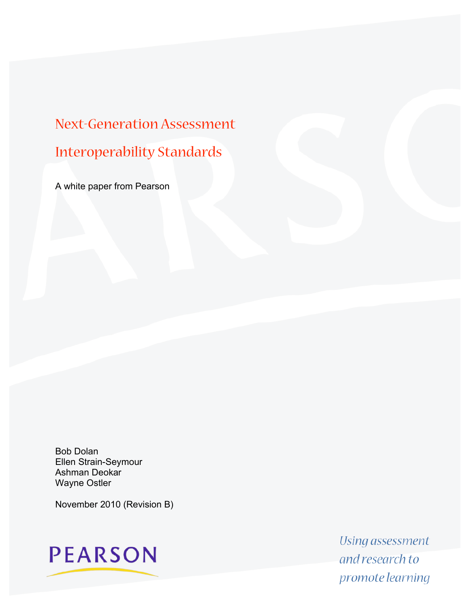# Next-Generation Assessment Interoperability Standards

A white paper from Pearson

Bob Dolan Ellen Strain-Seymour Ashman Deokar Wayne Ostler

November 2010 (Revision B)

**PEARSON** 

Using assessment and research to promote learning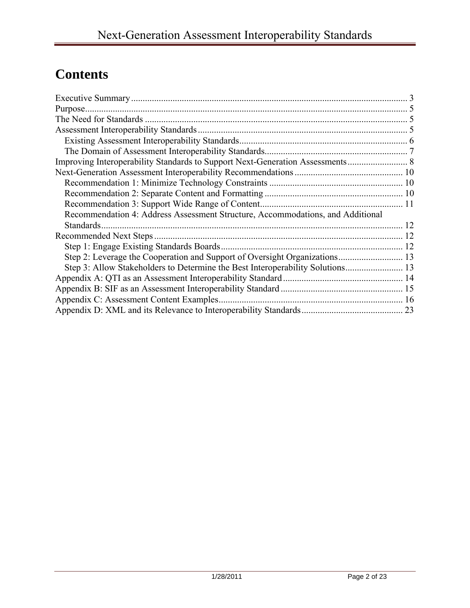## **Contents**

| Purpose.                                                                       |  |
|--------------------------------------------------------------------------------|--|
|                                                                                |  |
|                                                                                |  |
|                                                                                |  |
|                                                                                |  |
| Improving Interoperability Standards to Support Next-Generation Assessments 8  |  |
|                                                                                |  |
|                                                                                |  |
|                                                                                |  |
|                                                                                |  |
| Recommendation 4: Address Assessment Structure, Accommodations, and Additional |  |
| Standards.                                                                     |  |
|                                                                                |  |
|                                                                                |  |
|                                                                                |  |
|                                                                                |  |
|                                                                                |  |
|                                                                                |  |
|                                                                                |  |
|                                                                                |  |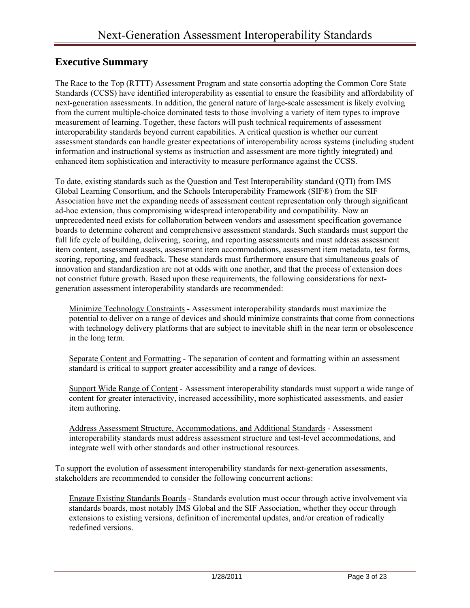## <span id="page-2-0"></span>**Executive Summary**

The Race to the Top (RTTT) Assessment Program and state consortia adopting the Common Core State Standards (CCSS) have identified interoperability as essential to ensure the feasibility and affordability of next-generation assessments. In addition, the general nature of large-scale assessment is likely evolving from the current multiple-choice dominated tests to those involving a variety of item types to improve measurement of learning. Together, these factors will push technical requirements of assessment interoperability standards beyond current capabilities. A critical question is whether our current assessment standards can handle greater expectations of interoperability across systems (including student information and instructional systems as instruction and assessment are more tightly integrated) and enhanced item sophistication and interactivity to measure performance against the CCSS.

To date, existing standards such as the Question and Test Interoperability standard (QTI) from IMS Global Learning Consortium, and the Schools Interoperability Framework (SIF®) from the SIF Association have met the expanding needs of assessment content representation only through significant ad-hoc extension, thus compromising widespread interoperability and compatibility. Now an unprecedented need exists for collaboration between vendors and assessment specification governance boards to determine coherent and comprehensive assessment standards. Such standards must support the full life cycle of building, delivering, scoring, and reporting assessments and must address assessment item content, assessment assets, assessment item accommodations, assessment item metadata, test forms, scoring, reporting, and feedback. These standards must furthermore ensure that simultaneous goals of innovation and standardization are not at odds with one another, and that the process of extension does not constrict future growth. Based upon these requirements, the following considerations for nextgeneration assessment interoperability standards are recommended:

Minimize Technology Constraints - Assessment interoperability standards must maximize the potential to deliver on a range of devices and should minimize constraints that come from connections with technology delivery platforms that are subject to inevitable shift in the near term or obsolescence in the long term.

Separate Content and Formatting - The separation of content and formatting within an assessment standard is critical to support greater accessibility and a range of devices.

Support Wide Range of Content - Assessment interoperability standards must support a wide range of content for greater interactivity, increased accessibility, more sophisticated assessments, and easier item authoring.

Address Assessment Structure, Accommodations, and Additional Standards - Assessment interoperability standards must address assessment structure and test-level accommodations, and integrate well with other standards and other instructional resources.

To support the evolution of assessment interoperability standards for next-generation assessments, stakeholders are recommended to consider the following concurrent actions:

Engage Existing Standards Boards - Standards evolution must occur through active involvement via standards boards, most notably IMS Global and the SIF Association, whether they occur through extensions to existing versions, definition of incremental updates, and/or creation of radically redefined versions.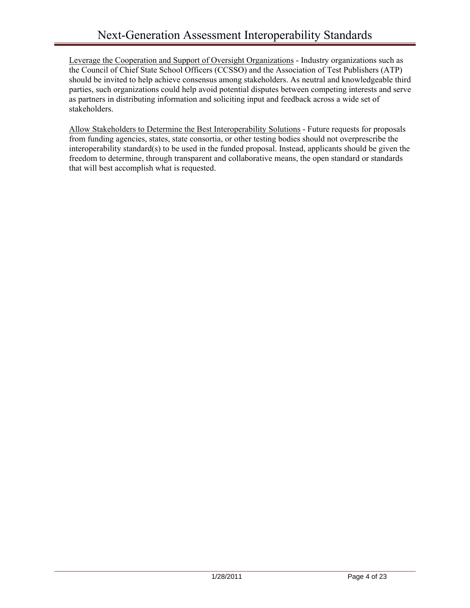Leverage the Cooperation and Support of Oversight Organizations - Industry organizations such as the Council of Chief State School Officers (CCSSO) and the Association of Test Publishers (ATP) should be invited to help achieve consensus among stakeholders. As neutral and knowledgeable third parties, such organizations could help avoid potential disputes between competing interests and serve as partners in distributing information and soliciting input and feedback across a wide set of stakeholders.

Allow Stakeholders to Determine the Best Interoperability Solutions - Future requests for proposals from funding agencies, states, state consortia, or other testing bodies should not overprescribe the interoperability standard(s) to be used in the funded proposal. Instead, applicants should be given the freedom to determine, through transparent and collaborative means, the open standard or standards that will best accomplish what is requested.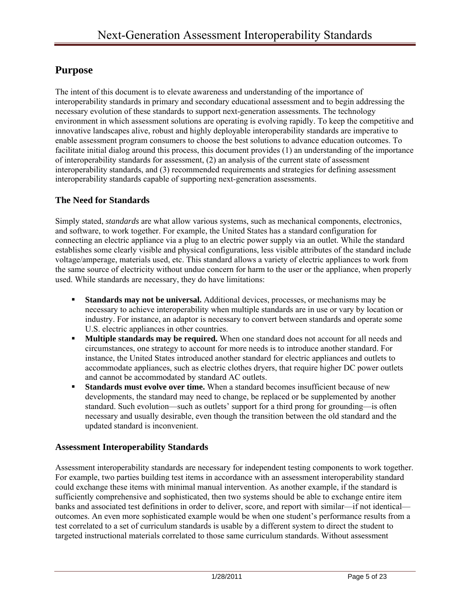## <span id="page-4-0"></span>**Purpose**

The intent of this document is to elevate awareness and understanding of the importance of interoperability standards in primary and secondary educational assessment and to begin addressing the necessary evolution of these standards to support next-generation assessments. The technology environment in which assessment solutions are operating is evolving rapidly. To keep the competitive and innovative landscapes alive, robust and highly deployable interoperability standards are imperative to enable assessment program consumers to choose the best solutions to advance education outcomes. To facilitate initial dialog around this process, this document provides (1) an understanding of the importance of interoperability standards for assessment, (2) an analysis of the current state of assessment interoperability standards, and (3) recommended requirements and strategies for defining assessment interoperability standards capable of supporting next-generation assessments.

#### <span id="page-4-1"></span>**The Need for Standards**

Simply stated, *standards* are what allow various systems, such as mechanical components, electronics, and software, to work together. For example, the United States has a standard configuration for connecting an electric appliance via a plug to an electric power supply via an outlet. While the standard establishes some clearly visible and physical configurations, less visible attributes of the standard include voltage/amperage, materials used, etc. This standard allows a variety of electric appliances to work from the same source of electricity without undue concern for harm to the user or the appliance, when properly used. While standards are necessary, they do have limitations:

- **Standards may not be universal.** Additional devices, processes, or mechanisms may be necessary to achieve interoperability when multiple standards are in use or vary by location or industry. For instance, an adaptor is necessary to convert between standards and operate some U.S. electric appliances in other countries.
- **Multiple standards may be required.** When one standard does not account for all needs and circumstances, one strategy to account for more needs is to introduce another standard. For instance, the United States introduced another standard for electric appliances and outlets to accommodate appliances, such as electric clothes dryers, that require higher DC power outlets and cannot be accommodated by standard AC outlets.
- **Standards must evolve over time.** When a standard becomes insufficient because of new developments, the standard may need to change, be replaced or be supplemented by another standard. Such evolution—such as outlets' support for a third prong for grounding—is often necessary and usually desirable, even though the transition between the old standard and the updated standard is inconvenient.

#### <span id="page-4-2"></span>**Assessment Interoperability Standards**

Assessment interoperability standards are necessary for independent testing components to work together. For example, two parties building test items in accordance with an assessment interoperability standard could exchange these items with minimal manual intervention. As another example, if the standard is sufficiently comprehensive and sophisticated, then two systems should be able to exchange entire item banks and associated test definitions in order to deliver, score, and report with similar—if not identical outcomes. An even more sophisticated example would be when one student's performance results from a test correlated to a set of curriculum standards is usable by a different system to direct the student to targeted instructional materials correlated to those same curriculum standards. Without assessment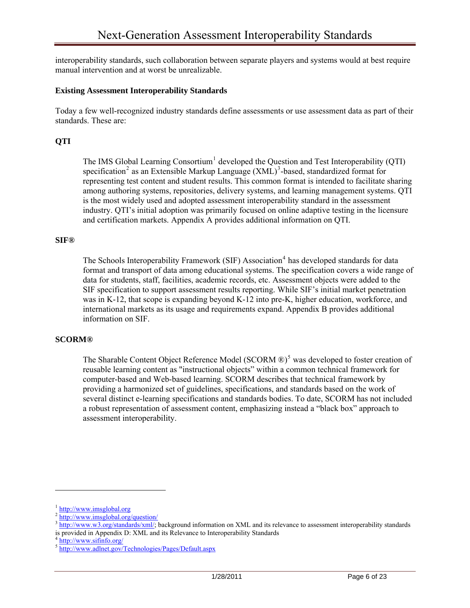interoperability standards, such collaboration between separate players and systems would at best require manual intervention and at worst be unrealizable.

#### <span id="page-5-0"></span>**Existing Assessment Interoperability Standards**

Today a few well-recognized industry standards define assessments or use assessment data as part of their standards. These are:

#### **QTI**

The IMS Global Learning Consortium<sup>[1](#page-5-1)</sup> developed the Question and Test Interoperability (QTI) specification<sup>[2](#page-5-2)</sup> as an Extensible Markup Language  $(XML)^3$  $(XML)^3$ -based, standardized format for representing test content and student results. This common format is intended to facilitate sharing among authoring systems, repositories, delivery systems, and learning management systems. QTI is the most widely used and adopted assessment interoperability standard in the assessment industry. QTI's initial adoption was primarily focused on online adaptive testing in the licensure and certification markets. Appendix A provides additional information on QTI.

#### **SIF®**

The Schools Interoperability Framework (SIF) Association<sup>[4](#page-5-4)</sup> has developed standards for data format and transport of data among educational systems. The specification covers a wide range of data for students, staff, facilities, academic records, etc. Assessment objects were added to the SIF specification to support assessment results reporting. While SIF's initial market penetration was in K-12, that scope is expanding beyond K-12 into pre-K, higher education, workforce, and international markets as its usage and requirements expand. Appendix B provides additional information on SIF.

#### **SCORM®**

The Sharable Content Object Reference Model (SCORM  $\mathbb{D}$ <sup>[5](#page-5-5)</sup> was developed to foster creation of reusable learning content as "instructional objects" within a common technical framework for computer-based and Web-based learning. SCORM describes that technical framework by providing a harmonized set of guidelines, specifications, and standards based on the work of several distinct e-learning specifications and standards bodies. To date, SCORM has not included a robust representation of assessment content, emphasizing instead a "black box" approach to assessment interoperability.

<span id="page-5-3"></span><span id="page-5-2"></span>

<span id="page-5-1"></span> $\frac{2 \text{ http://www.imsglobal.org}}{\text{http://www.imsglobal.org/question/}}$  $\frac{2 \text{ http://www.imsglobal.org}}{\text{http://www.imsglobal.org/question/}}$  $\frac{2 \text{ http://www.imsglobal.org}}{\text{http://www.imsglobal.org/question/}}$ <br> $\frac{3 \text{ http://www.imsglobal.org/question/}}{\text{http://www.w3.org/standards/xml/}}$  $\frac{3 \text{ http://www.imsglobal.org/question/}}{\text{http://www.w3.org/standards/xml/}}$  $\frac{3 \text{ http://www.imsglobal.org/question/}}{\text{http://www.w3.org/standards/xml/}}$  background information on XML and its relevance to assessment interoperability standards is provided in Appendix D: XML and its Relevance to Interoperability Standards

<span id="page-5-5"></span><span id="page-5-4"></span><sup>&</sup>lt;sup>4</sup> http://www.sifinfo.org/<br><sup>5</sup> <http://www.adlnet.gov/Technologies/Pages/Default.aspx>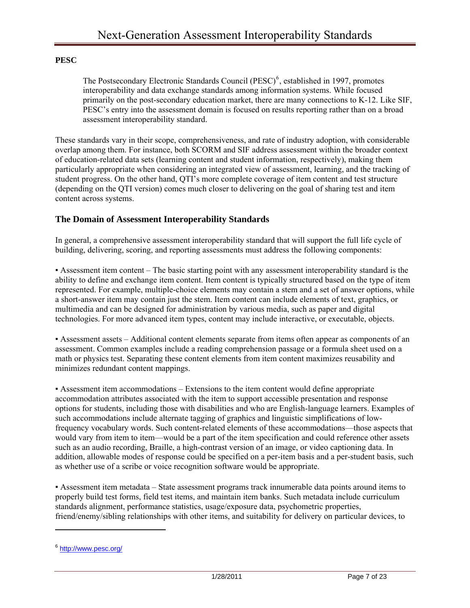#### **PESC**

The Postsecondary Electronic Standards Council (PESC)<sup>[6](#page-6-1)</sup>, established in 1997, promotes interoperability and data exchange standards among information systems. While focused primarily on the post-secondary education market, there are many connections to K-12. Like SIF, PESC's entry into the assessment domain is focused on results reporting rather than on a broad assessment interoperability standard.

These standards vary in their scope, comprehensiveness, and rate of industry adoption, with considerable overlap among them. For instance, both SCORM and SIF address assessment within the broader context of education-related data sets (learning content and student information, respectively), making them particularly appropriate when considering an integrated view of assessment, learning, and the tracking of student progress. On the other hand, QTI's more complete coverage of item content and test structure (depending on the QTI version) comes much closer to delivering on the goal of sharing test and item content across systems.

#### <span id="page-6-0"></span>**The Domain of Assessment Interoperability Standards**

In general, a comprehensive assessment interoperability standard that will support the full life cycle of building, delivering, scoring, and reporting assessments must address the following components:

▪ Assessment item content – The basic starting point with any assessment interoperability standard is the ability to define and exchange item content. Item content is typically structured based on the type of item represented. For example, multiple-choice elements may contain a stem and a set of answer options, while a short-answer item may contain just the stem. Item content can include elements of text, graphics, or multimedia and can be designed for administration by various media, such as paper and digital technologies. For more advanced item types, content may include interactive, or executable, objects.

▪ Assessment assets – Additional content elements separate from items often appear as components of an assessment. Common examples include a reading comprehension passage or a formula sheet used on a math or physics test. Separating these content elements from item content maximizes reusability and minimizes redundant content mappings.

▪ Assessment item accommodations – Extensions to the item content would define appropriate accommodation attributes associated with the item to support accessible presentation and response options for students, including those with disabilities and who are English-language learners. Examples of such accommodations include alternate tagging of graphics and linguistic simplifications of lowfrequency vocabulary words. Such content-related elements of these accommodations—those aspects that would vary from item to item—would be a part of the item specification and could reference other assets such as an audio recording, Braille, a high-contrast version of an image, or video captioning data. In addition, allowable modes of response could be specified on a per-item basis and a per-student basis, such as whether use of a scribe or voice recognition software would be appropriate.

▪ Assessment item metadata – State assessment programs track innumerable data points around items to properly build test forms, field test items, and maintain item banks. Such metadata include curriculum standards alignment, performance statistics, usage/exposure data, psychometric properties, friend/enemy/sibling relationships with other items, and suitability for delivery on particular devices, to

<span id="page-6-1"></span><sup>6</sup> <http://www.pesc.org/>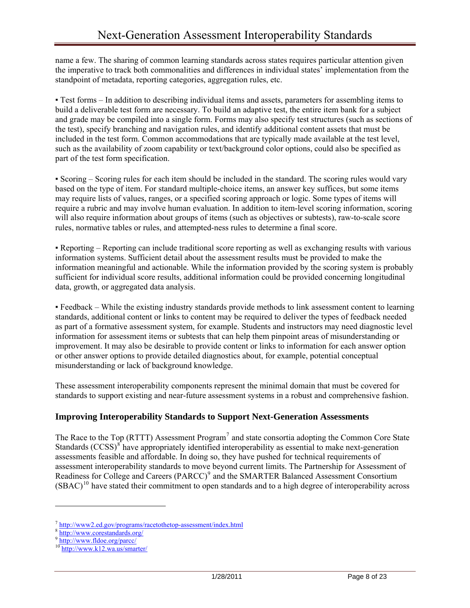name a few. The sharing of common learning standards across states requires particular attention given the imperative to track both commonalities and differences in individual states' implementation from the standpoint of metadata, reporting categories, aggregation rules, etc.

▪ Test forms – In addition to describing individual items and assets, parameters for assembling items to build a deliverable test form are necessary. To build an adaptive test, the entire item bank for a subject and grade may be compiled into a single form. Forms may also specify test structures (such as sections of the test), specify branching and navigation rules, and identify additional content assets that must be included in the test form. Common accommodations that are typically made available at the test level, such as the availability of zoom capability or text/background color options, could also be specified as part of the test form specification.

▪ Scoring – Scoring rules for each item should be included in the standard. The scoring rules would vary based on the type of item. For standard multiple-choice items, an answer key suffices, but some items may require lists of values, ranges, or a specified scoring approach or logic. Some types of items will require a rubric and may involve human evaluation. In addition to item-level scoring information, scoring will also require information about groups of items (such as objectives or subtests), raw-to-scale score rules, normative tables or rules, and attempted-ness rules to determine a final score.

▪ Reporting – Reporting can include traditional score reporting as well as exchanging results with various information systems. Sufficient detail about the assessment results must be provided to make the information meaningful and actionable. While the information provided by the scoring system is probably sufficient for individual score results, additional information could be provided concerning longitudinal data, growth, or aggregated data analysis.

▪ Feedback – While the existing industry standards provide methods to link assessment content to learning standards, additional content or links to content may be required to deliver the types of feedback needed as part of a formative assessment system, for example. Students and instructors may need diagnostic level information for assessment items or subtests that can help them pinpoint areas of misunderstanding or improvement. It may also be desirable to provide content or links to information for each answer option or other answer options to provide detailed diagnostics about, for example, potential conceptual misunderstanding or lack of background knowledge.

These assessment interoperability components represent the minimal domain that must be covered for standards to support existing and near-future assessment systems in a robust and comprehensive fashion.

#### <span id="page-7-0"></span>**Improving Interoperability Standards to Support Next-Generation Assessments**

The Race to the Top (RTTT) Assessment Program<sup>[7](#page-7-1)</sup> and state consortia adopting the Common Core State Standards (CCSS)<sup>[8](#page-7-2)</sup> have appropriately identified interoperability as essential to make next-generation assessments feasible and affordable. In doing so, they have pushed for technical requirements of assessment interoperability standards to move beyond current limits. The Partnership for Assessment of Readiness for College and Careers (PARCC)<sup>[9](#page-7-3)</sup> and the SMARTER Balanced Assessment Consortium  $(SBAC)<sup>10</sup>$  $(SBAC)<sup>10</sup>$  $(SBAC)<sup>10</sup>$  have stated their commitment to open standards and to a high degree of interoperability across

<span id="page-7-2"></span><span id="page-7-1"></span> $\frac{\text{7} \text{ http://www.ced.gov/programs/racetothetop-assessment/index.html}}{\text{http://www.corestandards.org/}}$ <br>
9 <http://www.fldoe.org/parcc/>

<span id="page-7-3"></span>

<span id="page-7-4"></span><sup>10</sup> <http://www.k12.wa.us/smarter/>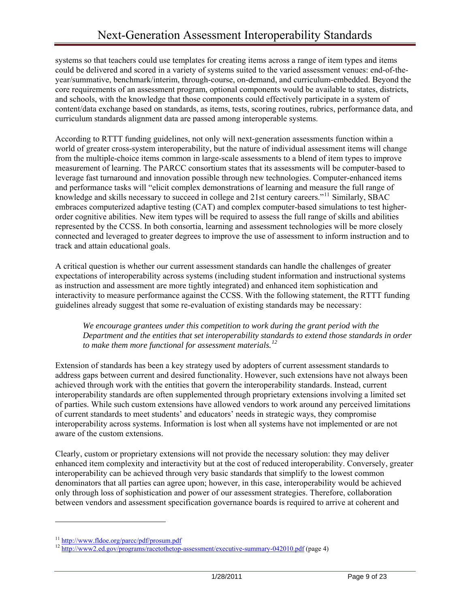systems so that teachers could use templates for creating items across a range of item types and items could be delivered and scored in a variety of systems suited to the varied assessment venues: end-of-theyear/summative, benchmark/interim, through-course, on-demand, and curriculum-embedded. Beyond the core requirements of an assessment program, optional components would be available to states, districts, and schools, with the knowledge that those components could effectively participate in a system of content/data exchange based on standards, as items, tests, scoring routines, rubrics, performance data, and curriculum standards alignment data are passed among interoperable systems.

According to RTTT funding guidelines, not only will next-generation assessments function within a world of greater cross-system interoperability, but the nature of individual assessment items will change from the multiple-choice items common in large-scale assessments to a blend of item types to improve measurement of learning. The PARCC consortium states that its assessments will be computer-based to leverage fast turnaround and innovation possible through new technologies. Computer-enhanced items and performance tasks will "elicit complex demonstrations of learning and measure the full range of knowledge and skills necessary to succeed in college and 21st century careers."<sup>[11](#page-8-0)</sup> Similarly, SBAC embraces computerized adaptive testing (CAT) and complex computer-based simulations to test higherorder cognitive abilities. New item types will be required to assess the full range of skills and abilities represented by the CCSS. In both consortia, learning and assessment technologies will be more closely connected and leveraged to greater degrees to improve the use of assessment to inform instruction and to track and attain educational goals.

A critical question is whether our current assessment standards can handle the challenges of greater expectations of interoperability across systems (including student information and instructional systems as instruction and assessment are more tightly integrated) and enhanced item sophistication and interactivity to measure performance against the CCSS. With the following statement, the RTTT funding guidelines already suggest that some re-evaluation of existing standards may be necessary:

*We encourage grantees under this competition to work during the grant period with the Department and the entities that set interoperability standards to extend those standards in order to make them more functional for assessment materials.[12](#page-8-1)*

Extension of standards has been a key strategy used by adopters of current assessment standards to address gaps between current and desired functionality. However, such extensions have not always been achieved through work with the entities that govern the interoperability standards. Instead, current interoperability standards are often supplemented through proprietary extensions involving a limited set of parties. While such custom extensions have allowed vendors to work around any perceived limitations of current standards to meet students' and educators' needs in strategic ways, they compromise interoperability across systems. Information is lost when all systems have not implemented or are not aware of the custom extensions.

Clearly, custom or proprietary extensions will not provide the necessary solution: they may deliver enhanced item complexity and interactivity but at the cost of reduced interoperability. Conversely, greater interoperability can be achieved through very basic standards that simplify to the lowest common denominators that all parties can agree upon; however, in this case, interoperability would be achieved only through loss of sophistication and power of our assessment strategies. Therefore, collaboration between vendors and assessment specification governance boards is required to arrive at coherent and

<span id="page-8-1"></span>

<span id="page-8-0"></span><sup>&</sup>lt;sup>11</sup> <http://www.fldoe.org/parcc/pdf/prosum.pdf><br><sup>12</sup> <http://www2.ed.gov/programs/racetothetop-assessment/executive-summary-042010.pdf> (page 4)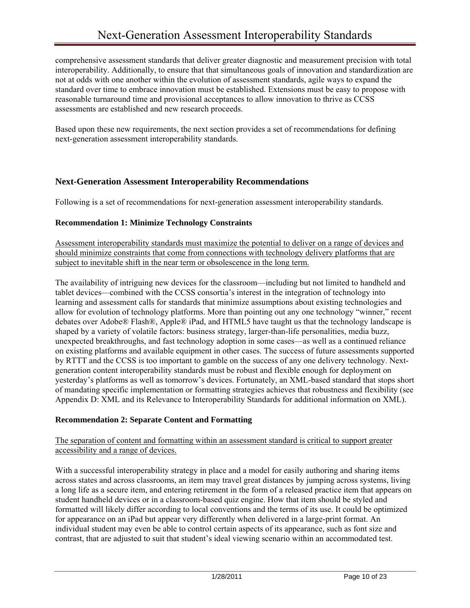comprehensive assessment standards that deliver greater diagnostic and measurement precision with total interoperability. Additionally, to ensure that that simultaneous goals of innovation and standardization are not at odds with one another within the evolution of assessment standards, agile ways to expand the standard over time to embrace innovation must be established. Extensions must be easy to propose with reasonable turnaround time and provisional acceptances to allow innovation to thrive as CCSS assessments are established and new research proceeds.

Based upon these new requirements, the next section provides a set of recommendations for defining next-generation assessment interoperability standards.

#### <span id="page-9-0"></span>**Next-Generation Assessment Interoperability Recommendations**

Following is a set of recommendations for next-generation assessment interoperability standards.

#### <span id="page-9-1"></span>**Recommendation 1: Minimize Technology Constraints**

Assessment interoperability standards must maximize the potential to deliver on a range of devices and should minimize constraints that come from connections with technology delivery platforms that are subject to inevitable shift in the near term or obsolescence in the long term.

The availability of intriguing new devices for the classroom—including but not limited to handheld and tablet devices—combined with the CCSS consortia's interest in the integration of technology into learning and assessment calls for standards that minimize assumptions about existing technologies and allow for evolution of technology platforms. More than pointing out any one technology "winner," recent debates over Adobe® Flash®, Apple® iPad, and HTML5 have taught us that the technology landscape is shaped by a variety of volatile factors: business strategy, larger-than-life personalities, media buzz, unexpected breakthroughs, and fast technology adoption in some cases—as well as a continued reliance on existing platforms and available equipment in other cases. The success of future assessments supported by RTTT and the CCSS is too important to gamble on the success of any one delivery technology. Nextgeneration content interoperability standards must be robust and flexible enough for deployment on yesterday's platforms as well as tomorrow's devices. Fortunately, an XML-based standard that stops short of mandating specific implementation or formatting strategies achieves that robustness and flexibility (see [Appendix D: XML and its Relevance to Interoperability Standards](#page-22-0) for additional information on XML).

#### <span id="page-9-2"></span>**Recommendation 2: Separate Content and Formatting**

#### The separation of content and formatting within an assessment standard is critical to support greater accessibility and a range of devices.

With a successful interoperability strategy in place and a model for easily authoring and sharing items across states and across classrooms, an item may travel great distances by jumping across systems, living a long life as a secure item, and entering retirement in the form of a released practice item that appears on student handheld devices or in a classroom-based quiz engine. How that item should be styled and formatted will likely differ according to local conventions and the terms of its use. It could be optimized for appearance on an iPad but appear very differently when delivered in a large-print format. An individual student may even be able to control certain aspects of its appearance, such as font size and contrast, that are adjusted to suit that student's ideal viewing scenario within an accommodated test.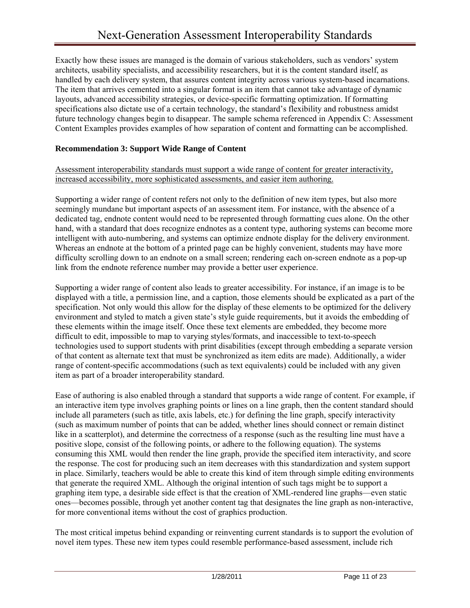Exactly how these issues are managed is the domain of various stakeholders, such as vendors' system architects, usability specialists, and accessibility researchers, but it is the content standard itself, as handled by each delivery system, that assures content integrity across various system-based incarnations. The item that arrives cemented into a singular format is an item that cannot take advantage of dynamic layouts, advanced accessibility strategies, or device-specific formatting optimization. If formatting specifications also dictate use of a certain technology, the standard's flexibility and robustness amidst future technology changes begin to disappear. The sample schema referenced in [Appendix C: Assessment](#page-15-0)  [Content Examples](#page-15-0) provides examples of how separation of content and formatting can be accomplished.

#### <span id="page-10-0"></span>**Recommendation 3: Support Wide Range of Content**

Assessment interoperability standards must support a wide range of content for greater interactivity, increased accessibility, more sophisticated assessments, and easier item authoring.

Supporting a wider range of content refers not only to the definition of new item types, but also more seemingly mundane but important aspects of an assessment item. For instance, with the absence of a dedicated tag, endnote content would need to be represented through formatting cues alone. On the other hand, with a standard that does recognize endnotes as a content type, authoring systems can become more intelligent with auto-numbering, and systems can optimize endnote display for the delivery environment. Whereas an endnote at the bottom of a printed page can be highly convenient, students may have more difficulty scrolling down to an endnote on a small screen; rendering each on-screen endnote as a pop-up link from the endnote reference number may provide a better user experience.

Supporting a wider range of content also leads to greater accessibility. For instance, if an image is to be displayed with a title, a permission line, and a caption, those elements should be explicated as a part of the specification. Not only would this allow for the display of these elements to be optimized for the delivery environment and styled to match a given state's style guide requirements, but it avoids the embedding of these elements within the image itself. Once these text elements are embedded, they become more difficult to edit, impossible to map to varying styles/formats, and inaccessible to text-to-speech technologies used to support students with print disabilities (except through embedding a separate version of that content as alternate text that must be synchronized as item edits are made). Additionally, a wider range of content-specific accommodations (such as text equivalents) could be included with any given item as part of a broader interoperability standard.

Ease of authoring is also enabled through a standard that supports a wide range of content. For example, if an interactive item type involves graphing points or lines on a line graph, then the content standard should include all parameters (such as title, axis labels, etc.) for defining the line graph, specify interactivity (such as maximum number of points that can be added, whether lines should connect or remain distinct like in a scatterplot), and determine the correctness of a response (such as the resulting line must have a positive slope, consist of the following points, or adhere to the following equation). The systems consuming this XML would then render the line graph, provide the specified item interactivity, and score the response. The cost for producing such an item decreases with this standardization and system support in place. Similarly, teachers would be able to create this kind of item through simple editing environments that generate the required XML. Although the original intention of such tags might be to support a graphing item type, a desirable side effect is that the creation of XML-rendered line graphs—even static ones—becomes possible, through yet another content tag that designates the line graph as non-interactive, for more conventional items without the cost of graphics production.

The most critical impetus behind expanding or reinventing current standards is to support the evolution of novel item types. These new item types could resemble performance-based assessment, include rich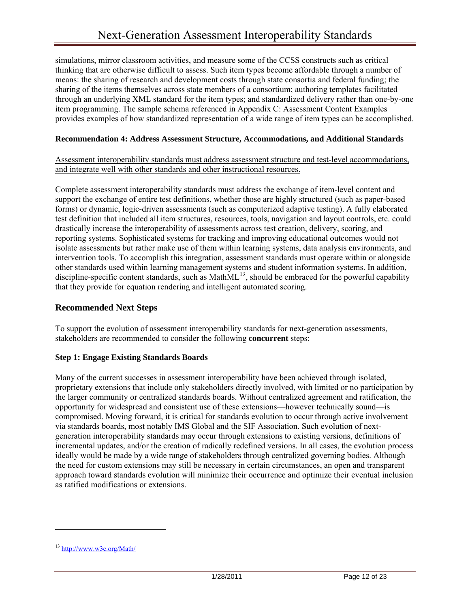simulations, mirror classroom activities, and measure some of the CCSS constructs such as critical thinking that are otherwise difficult to assess. Such item types become affordable through a number of means: the sharing of research and development costs through state consortia and federal funding; the sharing of the items themselves across state members of a consortium; authoring templates facilitated through an underlying XML standard for the item types; and standardized delivery rather than one-by-one item programming. The sample schema referenced in [Appendix C: Assessment Content Examples](#page-15-0) provides examples of how standardized representation of a wide range of item types can be accomplished.

#### <span id="page-11-0"></span>**Recommendation 4: Address Assessment Structure, Accommodations, and Additional Standards**

Assessment interoperability standards must address assessment structure and test-level accommodations, and integrate well with other standards and other instructional resources.

Complete assessment interoperability standards must address the exchange of item-level content and support the exchange of entire test definitions, whether those are highly structured (such as paper-based forms) or dynamic, logic-driven assessments (such as computerized adaptive testing). A fully elaborated test definition that included all item structures, resources, tools, navigation and layout controls, etc. could drastically increase the interoperability of assessments across test creation, delivery, scoring, and reporting systems. Sophisticated systems for tracking and improving educational outcomes would not isolate assessments but rather make use of them within learning systems, data analysis environments, and intervention tools. To accomplish this integration, assessment standards must operate within or alongside other standards used within learning management systems and student information systems. In addition, discipline-specific content standards, such as MathML $^{13}$  $^{13}$  $^{13}$ , should be embraced for the powerful capability that they provide for equation rendering and intelligent automated scoring.

#### <span id="page-11-1"></span>**Recommended Next Steps**

To support the evolution of assessment interoperability standards for next-generation assessments, stakeholders are recommended to consider the following **concurrent** steps:

#### <span id="page-11-2"></span>**Step 1: Engage Existing Standards Boards**

Many of the current successes in assessment interoperability have been achieved through isolated, proprietary extensions that include only stakeholders directly involved, with limited or no participation by the larger community or centralized standards boards. Without centralized agreement and ratification, the opportunity for widespread and consistent use of these extensions—however technically sound—is compromised. Moving forward, it is critical for standards evolution to occur through active involvement via standards boards, most notably IMS Global and the SIF Association. Such evolution of nextgeneration interoperability standards may occur through extensions to existing versions, definitions of incremental updates, and/or the creation of radically redefined versions. In all cases, the evolution process ideally would be made by a wide range of stakeholders through centralized governing bodies. Although the need for custom extensions may still be necessary in certain circumstances, an open and transparent approach toward standards evolution will minimize their occurrence and optimize their eventual inclusion as ratified modifications or extensions.

<span id="page-11-3"></span><sup>13</sup> <http://www.w3c.org/Math/>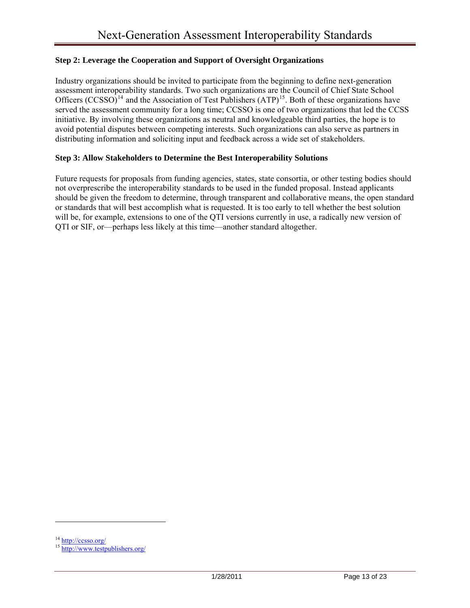#### <span id="page-12-0"></span>**Step 2: Leverage the Cooperation and Support of Oversight Organizations**

Industry organizations should be invited to participate from the beginning to define next-generation assessment interoperability standards. Two such organizations are the Council of Chief State School Officers  $(CCSSO)^{14}$  $(CCSSO)^{14}$  $(CCSSO)^{14}$  and the Association of Test Publishers  $(ATP)^{15}$  $(ATP)^{15}$  $(ATP)^{15}$ . Both of these organizations have served the assessment community for a long time; CCSSO is one of two organizations that led the CCSS initiative. By involving these organizations as neutral and knowledgeable third parties, the hope is to avoid potential disputes between competing interests. Such organizations can also serve as partners in distributing information and soliciting input and feedback across a wide set of stakeholders.

#### <span id="page-12-1"></span>**Step 3: Allow Stakeholders to Determine the Best Interoperability Solutions**

Future requests for proposals from funding agencies, states, state consortia, or other testing bodies should not overprescribe the interoperability standards to be used in the funded proposal. Instead applicants should be given the freedom to determine, through transparent and collaborative means, the open standard or standards that will best accomplish what is requested. It is too early to tell whether the best solution will be, for example, extensions to one of the QTI versions currently in use, a radically new version of QTI or SIF, or—perhaps less likely at this time—another standard altogether.

<span id="page-12-3"></span><span id="page-12-2"></span> $\frac{14 \text{ http://cesso.org/}}{15 \text{ http://www.testpublishers.org/}}$  $\frac{14 \text{ http://cesso.org/}}{15 \text{ http://www.testpublishers.org/}}$  $\frac{14 \text{ http://cesso.org/}}{15 \text{ http://www.testpublishers.org/}}$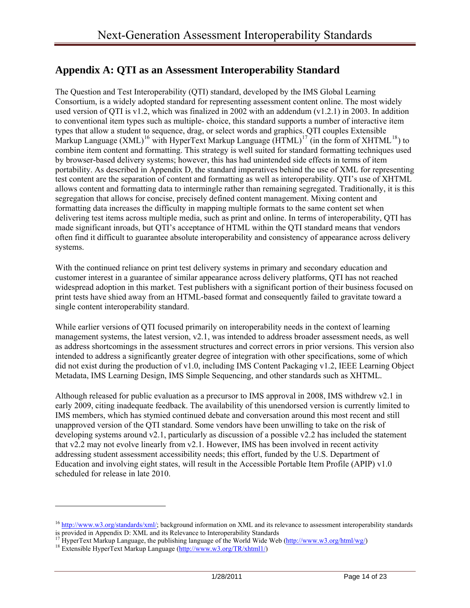## <span id="page-13-0"></span>**Appendix A: QTI as an Assessment Interoperability Standard**

The Question and Test Interoperability (QTI) standard, developed by the IMS Global Learning Consortium, is a widely adopted standard for representing assessment content online. The most widely used version of OTI is v1.2, which was finalized in 2002 with an addendum  $(v1.2.1)$  in 2003. In addition to conventional item types such as multiple- choice, this standard supports a number of interactive item types that allow a student to sequence, drag, or select words and graphics. QTI couples Extensible Markup Language  $(XML)^{16}$  $(XML)^{16}$  $(XML)^{16}$  with HyperText Markup Language  $(HTML)^{17}$  $(HTML)^{17}$  $(HTML)^{17}$  (in the form of XHTML<sup>[18](#page-13-3)</sup>) to combine item content and formatting. This strategy is well suited for standard formatting techniques used by browser-based delivery systems; however, this has had unintended side effects in terms of item portability. As described in Appendix D, the standard imperatives behind the use of XML for representing test content are the separation of content and formatting as well as interoperability. QTI's use of XHTML allows content and formatting data to intermingle rather than remaining segregated. Traditionally, it is this segregation that allows for concise, precisely defined content management. Mixing content and formatting data increases the difficulty in mapping multiple formats to the same content set when delivering test items across multiple media, such as print and online. In terms of interoperability, QTI has made significant inroads, but QTI's acceptance of HTML within the QTI standard means that vendors often find it difficult to guarantee absolute interoperability and consistency of appearance across delivery systems.

With the continued reliance on print test delivery systems in primary and secondary education and customer interest in a guarantee of similar appearance across delivery platforms, QTI has not reached widespread adoption in this market. Test publishers with a significant portion of their business focused on print tests have shied away from an HTML-based format and consequently failed to gravitate toward a single content interoperability standard.

While earlier versions of QTI focused primarily on interoperability needs in the context of learning management systems, the latest version, v2.1, was intended to address broader assessment needs, as well as address shortcomings in the assessment structures and correct errors in prior versions. This version also intended to address a significantly greater degree of integration with other specifications, some of which did not exist during the production of v1.0, including IMS Content Packaging v1.2, IEEE Learning Object Metadata, IMS Learning Design, IMS Simple Sequencing, and other standards such as XHTML.

Although released for public evaluation as a precursor to IMS approval in 2008, IMS withdrew v2.1 in early 2009, citing inadequate feedback. The availability of this unendorsed version is currently limited to IMS members, which has stymied continued debate and conversation around this most recent and still unapproved version of the QTI standard. Some vendors have been unwilling to take on the risk of developing systems around v2.1, particularly as discussion of a possible v2.2 has included the statement that v2.2 may not evolve linearly from v2.1. However, IMS has been involved in recent activity addressing student assessment accessibility needs; this effort, funded by the U.S. Department of Education and involving eight states, will result in the Accessible Portable Item Profile (APIP)  $v1.0$ scheduled for release in late 2010.

<span id="page-13-1"></span><sup>&</sup>lt;sup>16</sup> <http://www.w3.org/standards/xml/>; background information on XML and its relevance to assessment interoperability standards is provided in Appendix D: XML and its Relevance to Interoperability Standards

<span id="page-13-2"></span><sup>&</sup>lt;sup>17</sup> HyperText Markup Language, the publish[ing language of the World Wide](http://www.w3.org/TR/xhtml1/) Web (<http://www.w3.org/html/wg/>) <sup>18</sup> Extensible HyperText Markup Language [\(http://www.w3.org/TR/xhtml1/](http://www.w3.org/TR/xhtml1/))

<span id="page-13-3"></span>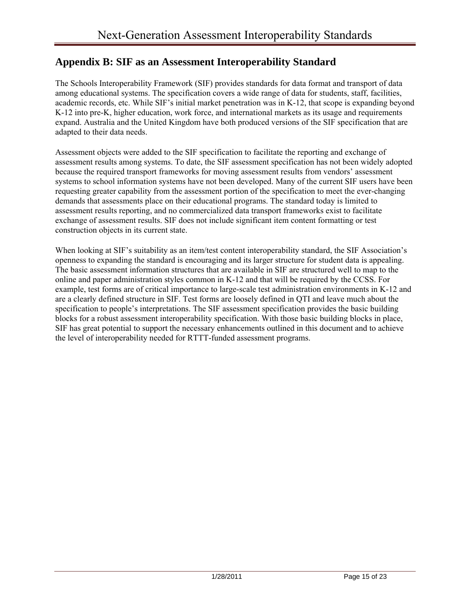## <span id="page-14-0"></span>**Appendix B: SIF as an Assessment Interoperability Standard**

The Schools Interoperability Framework (SIF) provides standards for data format and transport of data among educational systems. The specification covers a wide range of data for students, staff, facilities, academic records, etc. While SIF's initial market penetration was in K-12, that scope is expanding beyond K-12 into pre-K, higher education, work force, and international markets as its usage and requirements expand. Australia and the United Kingdom have both produced versions of the SIF specification that are adapted to their data needs.

Assessment objects were added to the SIF specification to facilitate the reporting and exchange of assessment results among systems. To date, the SIF assessment specification has not been widely adopted because the required transport frameworks for moving assessment results from vendors' assessment systems to school information systems have not been developed. Many of the current SIF users have been requesting greater capability from the assessment portion of the specification to meet the ever-changing demands that assessments place on their educational programs. The standard today is limited to assessment results reporting, and no commercialized data transport frameworks exist to facilitate exchange of assessment results. SIF does not include significant item content formatting or test construction objects in its current state.

When looking at SIF's suitability as an item/test content interoperability standard, the SIF Association's openness to expanding the standard is encouraging and its larger structure for student data is appealing. The basic assessment information structures that are available in SIF are structured well to map to the online and paper administration styles common in K-12 and that will be required by the CCSS. For example, test forms are of critical importance to large-scale test administration environments in K-12 and are a clearly defined structure in SIF. Test forms are loosely defined in QTI and leave much about the specification to people's interpretations. The SIF assessment specification provides the basic building blocks for a robust assessment interoperability specification. With those basic building blocks in place, SIF has great potential to support the necessary enhancements outlined in this document and to achieve the level of interoperability needed for RTTT-funded assessment programs.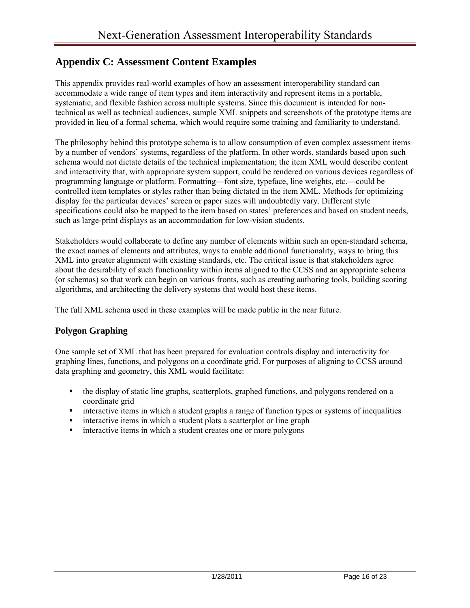## <span id="page-15-0"></span>**Appendix C: Assessment Content Examples**

This appendix provides real-world examples of how an assessment interoperability standard can accommodate a wide range of item types and item interactivity and represent items in a portable, systematic, and flexible fashion across multiple systems. Since this document is intended for nontechnical as well as technical audiences, sample XML snippets and screenshots of the prototype items are provided in lieu of a formal schema, which would require some training and familiarity to understand.

The philosophy behind this prototype schema is to allow consumption of even complex assessment items by a number of vendors' systems, regardless of the platform. In other words, standards based upon such schema would not dictate details of the technical implementation; the item XML would describe content and interactivity that, with appropriate system support, could be rendered on various devices regardless of programming language or platform. Formatting—font size, typeface, line weights, etc.—could be controlled item templates or styles rather than being dictated in the item XML. Methods for optimizing display for the particular devices' screen or paper sizes will undoubtedly vary. Different style specifications could also be mapped to the item based on states' preferences and based on student needs, such as large-print displays as an accommodation for low-vision students.

Stakeholders would collaborate to define any number of elements within such an open-standard schema, the exact names of elements and attributes, ways to enable additional functionality, ways to bring this XML into greater alignment with existing standards, etc. The critical issue is that stakeholders agree about the desirability of such functionality within items aligned to the CCSS and an appropriate schema (or schemas) so that work can begin on various fronts, such as creating authoring tools, building scoring algorithms, and architecting the delivery systems that would host these items.

The full XML schema used in these examples will be made public in the near future.

#### **Polygon Graphing**

One sample set of XML that has been prepared for evaluation controls display and interactivity for graphing lines, functions, and polygons on a coordinate grid. For purposes of aligning to CCSS around data graphing and geometry, this XML would facilitate:

- the display of static line graphs, scatterplots, graphed functions, and polygons rendered on a coordinate grid
- interactive items in which a student graphs a range of function types or systems of inequalities
- interactive items in which a student plots a scatterplot or line graph
- **imeractive items in which a student creates one or more polygons**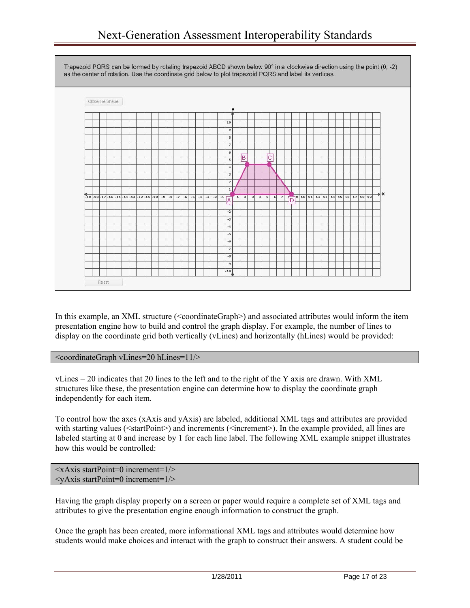## Next-Generation Assessment Interoperability Standards



In this example, an XML structure (<coordinateGraph>) and associated attributes would inform the item presentation engine how to build and control the graph display. For example, the number of lines to display on the coordinate grid both vertically (vLines) and horizontally (hLines) would be provided:

<coordinateGraph vLines=20 hLines=11/>

vLines = 20 indicates that 20 lines to the left and to the right of the Y axis are drawn. With XML structures like these, the presentation engine can determine how to display the coordinate graph independently for each item.

To control how the axes (xAxis and yAxis) are labeled, additional XML tags and attributes are provided with starting values ( $\langle \text{startPoint}\rangle$ ) and increments ( $\langle \text{increment}\rangle$ ). In the example provided, all lines are labeled starting at 0 and increase by 1 for each line label. The following XML example snippet illustrates how this would be controlled:

```
\langle x\angle A x is start Point=0 increment=1/>\langle \text{vAxis startPoint}=0 \text{ increment}=1/\rangle
```
Having the graph display properly on a screen or paper would require a complete set of XML tags and attributes to give the presentation engine enough information to construct the graph.

Once the graph has been created, more informational XML tags and attributes would determine how students would make choices and interact with the graph to construct their answers. A student could be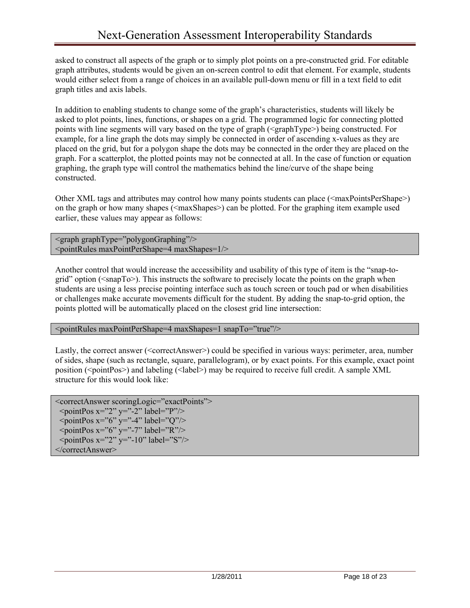asked to construct all aspects of the graph or to simply plot points on a pre-constructed grid. For editable graph attributes, students would be given an on-screen control to edit that element. For example, students would either select from a range of choices in an available pull-down menu or fill in a text field to edit graph titles and axis labels.

In addition to enabling students to change some of the graph's characteristics, students will likely be asked to plot points, lines, functions, or shapes on a grid. The programmed logic for connecting plotted points with line segments will vary based on the type of graph (<graphType>) being constructed. For example, for a line graph the dots may simply be connected in order of ascending x-values as they are placed on the grid, but for a polygon shape the dots may be connected in the order they are placed on the graph. For a scatterplot, the plotted points may not be connected at all. In the case of function or equation graphing, the graph type will control the mathematics behind the line/curve of the shape being constructed.

Other XML tags and attributes may control how many points students can place ( $\langle maxPointshape \rangle$ ) on the graph or how many shapes (<maxShapes>) can be plotted. For the graphing item example used earlier, these values may appear as follows:

 $\langle$ graph graphType="polygonGraphing"/>  $\le$ pointRules maxPointPerShape=4 maxShapes=1/ $>$ 

Another control that would increase the accessibility and usability of this type of item is the "snap-togrid" option ( $\langle$ snapTo $\rangle$ ). This instructs the software to precisely locate the points on the graph when students are using a less precise pointing interface such as touch screen or touch pad or when disabilities or challenges make accurate movements difficult for the student. By adding the snap-to-grid option, the points plotted will be automatically placed on the closest grid line intersection:

<pointRules maxPointPerShape=4 maxShapes=1 snapTo="true"/>

Lastly, the correct answer (<correctAnswer>) could be specified in various ways: perimeter, area, number of sides, shape (such as rectangle, square, parallelogram), or by exact points. For this example, exact point position (<pointPos>) and labeling (<label>) may be required to receive full credit. A sample XML structure for this would look like:

<correctAnswer scoringLogic="exactPoints">  $\leq$ pointPos x="2" y="-2" label="P"/>  $\gamma$  <pointPos x="6" y="-4" label="Q"/>  $\frac{1}{2}$  spointPos x="6" y="-7" label="R"/>  $\leq$ pointPos x="2" y="-10" label="S"/> </correctAnswer>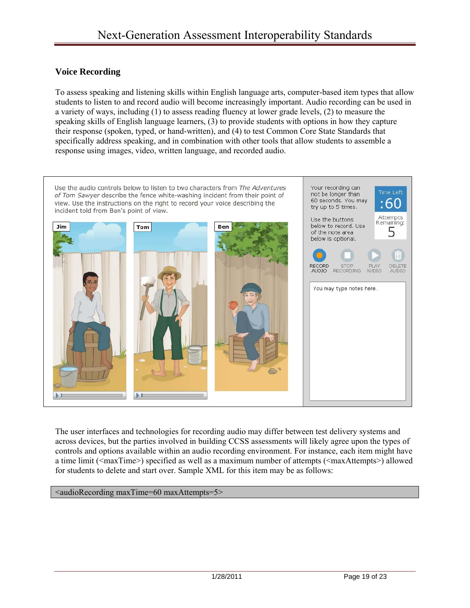#### **Voice Recording**

To assess speaking and listening skills within English language arts, computer-based item types that allow students to listen to and record audio will become increasingly important. Audio recording can be used in a variety of ways, including (1) to assess reading fluency at lower grade levels, (2) to measure the speaking skills of English language learners, (3) to provide students with options in how they capture their response (spoken, typed, or hand-written), and (4) to test Common Core State Standards that specifically address speaking, and in combination with other tools that allow students to assemble a response using images, video, written language, and recorded audio.



The user interfaces and technologies for recording audio may differ between test delivery systems and across devices, but the parties involved in building CCSS assessments will likely agree upon the types of controls and options available within an audio recording environment. For instance, each item might have a time limit (<maxTime>) specified as well as a maximum number of attempts (<maxAttempts>) allowed for students to delete and start over. Sample XML for this item may be as follows:

<audioRecording maxTime=60 maxAttempts=5>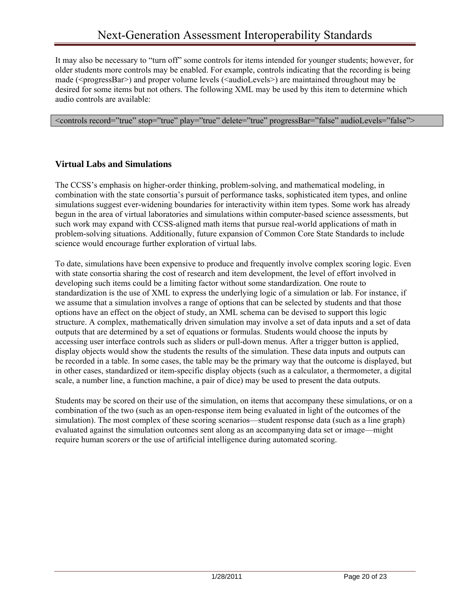It may also be necessary to "turn off" some controls for items intended for younger students; however, for older students more controls may be enabled. For example, controls indicating that the recording is being made (<progressBar>) and proper volume levels (<audioLevels>) are maintained throughout may be desired for some items but not others. The following XML may be used by this item to determine which audio controls are available:

<controls record="true" stop="true" play="true" delete="true" progressBar="false" audioLevels="false">

#### **Virtual Labs and Simulations**

The CCSS's emphasis on higher-order thinking, problem-solving, and mathematical modeling, in combination with the state consortia's pursuit of performance tasks, sophisticated item types, and online simulations suggest ever-widening boundaries for interactivity within item types. Some work has already begun in the area of virtual laboratories and simulations within computer-based science assessments, but such work may expand with CCSS-aligned math items that pursue real-world applications of math in problem-solving situations. Additionally, future expansion of Common Core State Standards to include science would encourage further exploration of virtual labs.

To date, simulations have been expensive to produce and frequently involve complex scoring logic. Even with state consortia sharing the cost of research and item development, the level of effort involved in developing such items could be a limiting factor without some standardization. One route to standardization is the use of XML to express the underlying logic of a simulation or lab. For instance, if we assume that a simulation involves a range of options that can be selected by students and that those options have an effect on the object of study, an XML schema can be devised to support this logic structure. A complex, mathematically driven simulation may involve a set of data inputs and a set of data outputs that are determined by a set of equations or formulas. Students would choose the inputs by accessing user interface controls such as sliders or pull-down menus. After a trigger button is applied, display objects would show the students the results of the simulation. These data inputs and outputs can be recorded in a table. In some cases, the table may be the primary way that the outcome is displayed, but in other cases, standardized or item-specific display objects (such as a calculator, a thermometer, a digital scale, a number line, a function machine, a pair of dice) may be used to present the data outputs.

Students may be scored on their use of the simulation, on items that accompany these simulations, or on a combination of the two (such as an open-response item being evaluated in light of the outcomes of the simulation). The most complex of these scoring scenarios—student response data (such as a line graph) evaluated against the simulation outcomes sent along as an accompanying data set or image—might require human scorers or the use of artificial intelligence during automated scoring.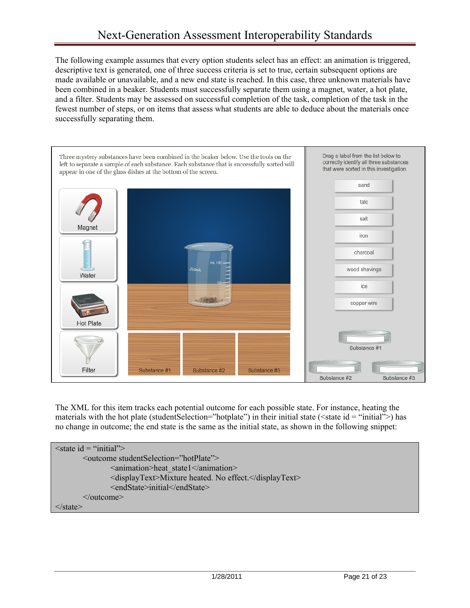The following example assumes that every option students select has an effect: an animation is triggered, descriptive text is generated, one of three success criteria is set to true, certain subsequent options are made available or unavailable, and a new end state is reached. In this case, three unknown materials have been combined in a beaker. Students must successfully separate them using a magnet, water, a hot plate, and a filter. Students may be assessed on successful completion of the task, completion of the task in the fewest number of steps, or on items that assess what students are able to deduce about the materials once successfully separating them.



The XML for this item tracks each potential outcome for each possible state. For instance, heating the materials with the hot plate (studentSelection="hotplate") in their initial state ( $\le$ state id = "initial">) has no change in outcome; the end state is the same as the initial state, as shown in the following snippet:

```
\lestate id = "initial">
        <outcome studentSelection="hotPlate"> 
                <animation>heat_state1</animation> 
                <displayText>Mixture heated. No effect.</displayText> 
                <endState>initial</endState> 
        </outcome> 
</state>
```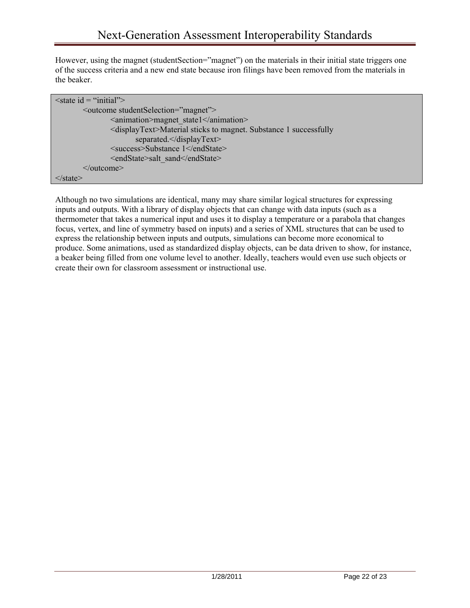However, using the magnet (student Section="magnet") on the materials in their initial state triggers one of the success criteria and a new end state because iron filings have been removed from the materials in the beaker.

| $\le$ state id = "initial">                                                    |
|--------------------------------------------------------------------------------|
| <br>soutcome studentSelection="magnet">                                        |
| <animation>magnet state1</animation>                                           |
| <displaytext>Material sticks to magnet. Substance 1 successfully</displaytext> |
| separated.                                                                     |
| <success>Substance 1</success>                                                 |
| <endstate>salt sand</endstate>                                                 |
| $\le$ /outcome>                                                                |
| ≤/state>                                                                       |

Although no two simulations are identical, many may share similar logical structures for expressing inputs and outputs. With a library of display objects that can change with data inputs (such as a thermometer that takes a numerical input and uses it to display a temperature or a parabola that changes focus, vertex, and line of symmetry based on inputs) and a series of XML structures that can be used to express the relationship between inputs and outputs, simulations can become more economical to produce. Some animations, used as standardized display objects, can be data driven to show, for instance, a beaker being filled from one volume level to another. Ideally, teachers would even use such objects or create their own for classroom assessment or instructional use.